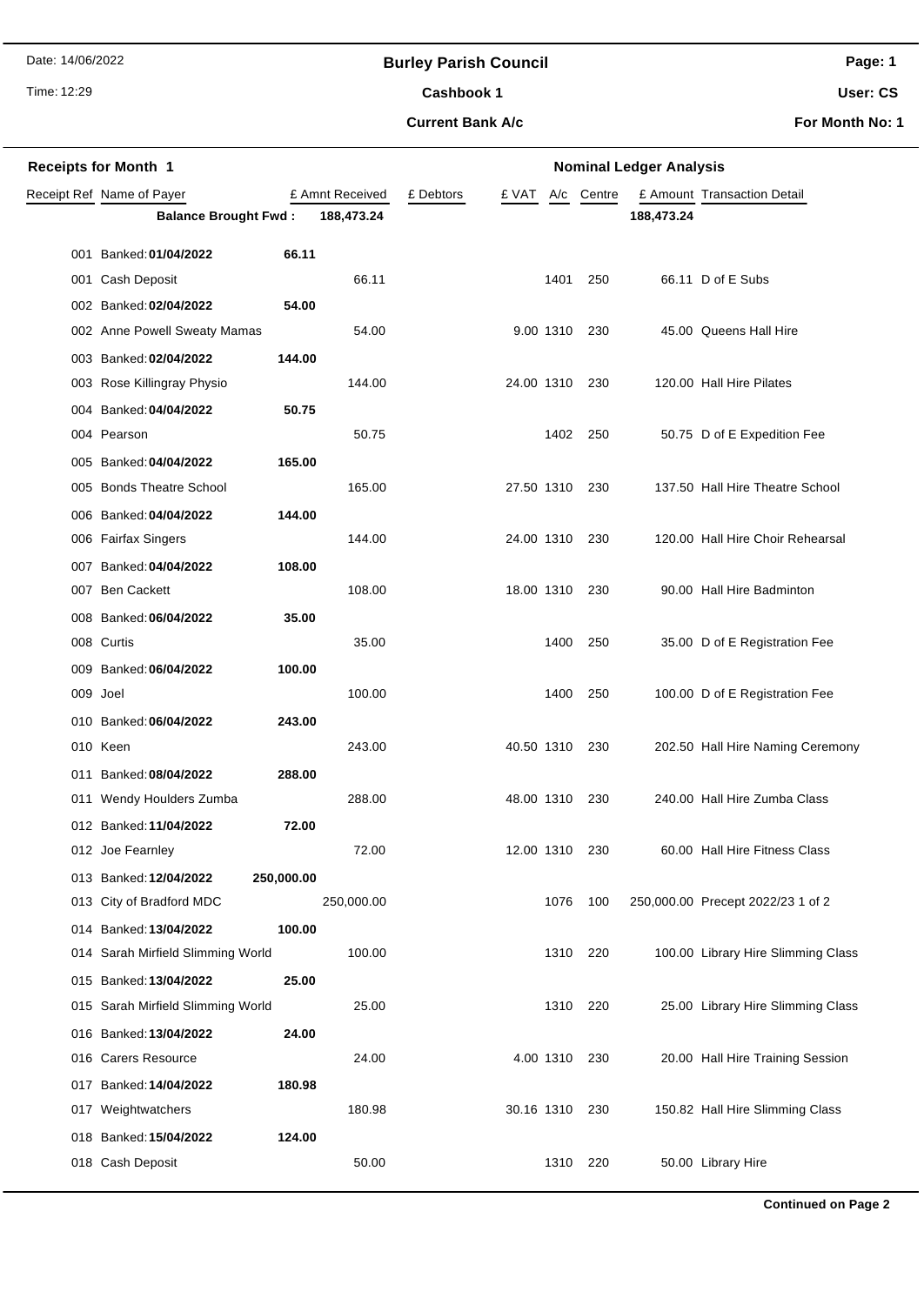Date: 14/06/2022

### **Burley Parish Council**

Time: 12:29

# Cashbook 1

**Current Bank A/c**

**User: CS**

**For Month No: 1**

|     | <b>Receipts for Month 1</b>                   | <b>Nominal Ledger Analysis</b> |                 |           |                |           |               |            |                                    |
|-----|-----------------------------------------------|--------------------------------|-----------------|-----------|----------------|-----------|---------------|------------|------------------------------------|
|     | Receipt Ref Name of Payer                     |                                | £ Amnt Received | £ Debtors | £ VAT          | A/c       | Centre        |            | £ Amount Transaction Detail        |
|     | <b>Balance Brought Fwd:</b>                   |                                | 188,473.24      |           |                |           |               | 188,473.24 |                                    |
|     | 001 Banked: 01/04/2022                        | 66.11                          |                 |           |                |           |               |            |                                    |
|     | 001 Cash Deposit                              |                                | 66.11           |           |                | 1401      | 250           |            | 66.11 D of E Subs                  |
|     | 002 Banked: 02/04/2022                        | 54.00                          |                 |           |                |           |               |            |                                    |
|     | 002 Anne Powell Sweaty Mamas                  |                                | 54.00           |           |                |           | 9.00 1310 230 |            | 45.00 Queens Hall Hire             |
|     | 003 Banked: 02/04/2022<br>144.00              |                                |                 |           |                |           |               |            |                                    |
|     | 003 Rose Killingray Physio                    |                                | 144.00          |           | 24.00 1310     |           | 230           |            | 120.00 Hall Hire Pilates           |
|     | 004 Banked: 04/04/2022                        | 50.75                          |                 |           |                |           |               |            |                                    |
|     | 004 Pearson                                   |                                | 50.75           |           |                | 1402      | 250           |            | 50.75 D of E Expedition Fee        |
|     | 005 Banked: 04/04/2022<br>165.00              |                                |                 |           |                |           |               |            |                                    |
|     | 005 Bonds Theatre School                      |                                | 165.00          |           | 27.50 1310     |           | 230           |            | 137.50 Hall Hire Theatre School    |
|     | 144.00<br>006 Banked: 04/04/2022              |                                |                 |           |                |           |               |            |                                    |
|     | 006 Fairfax Singers                           |                                | 144.00          |           | 24.00 1310     |           | 230           |            | 120.00 Hall Hire Choir Rehearsal   |
|     | 108.00<br>007 Banked: 04/04/2022              |                                |                 |           |                |           |               |            |                                    |
|     | 007 Ben Cackett                               |                                | 108.00          |           | 18.00 1310     |           | 230           |            | 90.00 Hall Hire Badminton          |
|     | 008 Banked: 06/04/2022                        | 35.00                          |                 |           |                |           |               |            |                                    |
|     | 008 Curtis                                    |                                | 35.00           |           |                | 1400      | 250           |            | 35.00 D of E Registration Fee      |
|     | 009 Banked: 06/04/2022<br>100.00              |                                |                 |           |                |           |               |            |                                    |
|     | 009 Joel                                      |                                | 100.00          |           |                | 1400      | 250           |            | 100.00 D of E Registration Fee     |
|     | 243.00<br>010 Banked: 06/04/2022              |                                |                 |           |                |           |               |            |                                    |
|     | 010 Keen                                      |                                | 243.00          |           | 40.50 1310     |           | 230           |            | 202.50 Hall Hire Naming Ceremony   |
| 011 | Banked: 08/04/2022<br>288.00                  |                                |                 |           |                |           |               |            |                                    |
|     | 011 Wendy Houlders Zumba                      |                                | 288.00          |           | 48.00 1310     |           | 230           |            | 240.00 Hall Hire Zumba Class       |
|     | 012 Banked: 11/04/2022                        | 72.00                          |                 |           |                |           |               |            |                                    |
|     | 012 Joe Fearnley                              |                                | 72.00           |           | 12.00 1310 230 |           |               |            | 60.00 Hall Hire Fitness Class      |
|     | 013 Banked: 12/04/2022<br>250,000.00          |                                |                 |           |                |           |               |            |                                    |
|     | 013 City of Bradford MDC                      |                                | 250,000.00      |           |                | 1076      | 100           |            | 250,000.00 Precept 2022/23 1 of 2  |
|     | 014 Banked: 13/04/2022<br>100.00              |                                |                 |           |                |           |               |            |                                    |
|     | 014 Sarah Mirfield Slimming World             |                                | 100.00          |           |                |           | 1310 220      |            | 100.00 Library Hire Slimming Class |
|     | 015 Banked: 13/04/2022                        | 25.00                          |                 |           |                |           |               |            |                                    |
|     | 015 Sarah Mirfield Slimming World             |                                | 25.00           |           |                | 1310      | 220           |            | 25.00 Library Hire Slimming Class  |
|     | 016 Banked: 13/04/2022<br>016 Carers Resource | 24.00                          | 24.00           |           |                |           |               |            |                                    |
|     | 180.98<br>017 Banked: 14/04/2022              |                                |                 |           |                | 4.00 1310 | 230           |            | 20.00 Hall Hire Training Session   |
|     | 017 Weightwatchers                            |                                | 180.98          |           | 30.16 1310     |           | 230           |            | 150.82 Hall Hire Slimming Class    |
|     | 018 Banked: 15/04/2022<br>124.00              |                                |                 |           |                |           |               |            |                                    |
|     | 018 Cash Deposit                              |                                | 50.00           |           |                | 1310      | 220           |            | 50.00 Library Hire                 |
|     |                                               |                                |                 |           |                |           |               |            |                                    |

**Page: 1**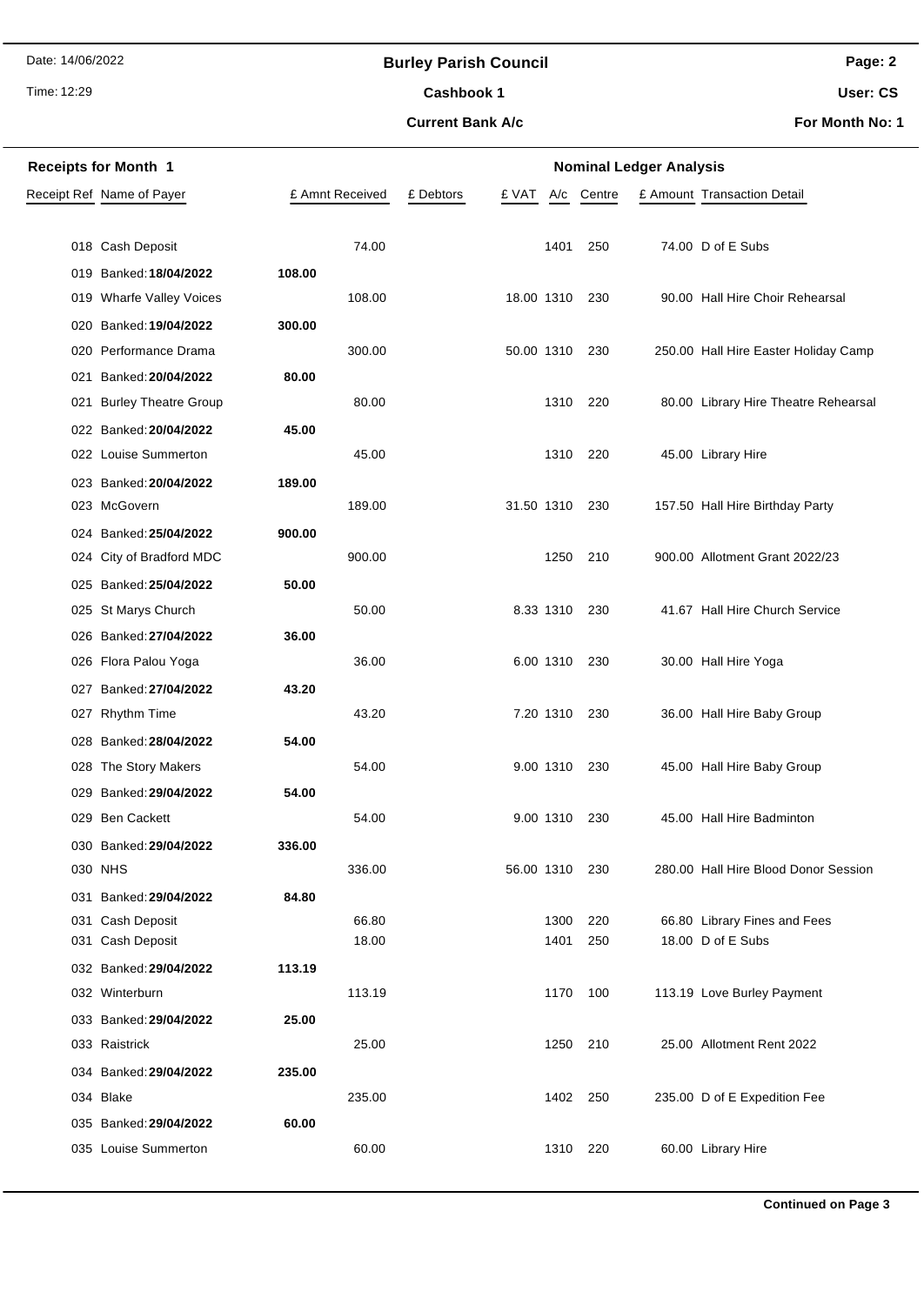Date: 14/06/2022

### **Burley Parish Council**

Time: 12:29

## **Current Bank A/c** Cashbook 1

**Page: 2**

**User: CS**

**For Month No: 1**

| <b>Receipts for Month 1</b>             |                 | <b>Nominal Ledger Analysis</b> |            |                                                   |  |  |  |
|-----------------------------------------|-----------------|--------------------------------|------------|---------------------------------------------------|--|--|--|
| Receipt Ref Name of Payer               | £ Amnt Received | £ Debtors<br>£ VAT<br>A/c      | Centre     | £ Amount Transaction Detail                       |  |  |  |
|                                         |                 |                                |            |                                                   |  |  |  |
| 018 Cash Deposit                        | 74.00           | 1401                           | 250        | 74.00 D of E Subs                                 |  |  |  |
| 019 Banked: 18/04/2022                  | 108.00          |                                |            |                                                   |  |  |  |
| 019 Wharfe Valley Voices                | 108.00          | 18.00 1310                     | 230        | 90.00 Hall Hire Choir Rehearsal                   |  |  |  |
| Banked: 19/04/2022<br>020               | 300.00          |                                |            |                                                   |  |  |  |
| 020 Performance Drama                   | 300.00          | 50.00 1310                     | 230        | 250.00 Hall Hire Easter Holiday Camp              |  |  |  |
| Banked: 20/04/2022<br>021               | 80.00           |                                |            |                                                   |  |  |  |
| 021 Burley Theatre Group                | 80.00           | 1310                           | 220        | 80.00 Library Hire Theatre Rehearsal              |  |  |  |
| 022 Banked: 20/04/2022                  | 45.00           |                                |            |                                                   |  |  |  |
| 022 Louise Summerton                    | 45.00           | 1310                           | 220        | 45.00 Library Hire                                |  |  |  |
| 023 Banked: 20/04/2022                  | 189.00          |                                |            |                                                   |  |  |  |
| 023 McGovern                            | 189.00          | 31.50 1310                     | 230        | 157.50 Hall Hire Birthday Party                   |  |  |  |
| 024 Banked: 25/04/2022                  | 900.00          |                                |            |                                                   |  |  |  |
| 024 City of Bradford MDC                | 900.00          | 1250                           | 210        | 900.00 Allotment Grant 2022/23                    |  |  |  |
| 025 Banked: 25/04/2022                  | 50.00           |                                |            |                                                   |  |  |  |
| 025 St Marys Church                     | 50.00           | 8.33 1310                      | 230        | 41.67 Hall Hire Church Service                    |  |  |  |
| 026 Banked: 27/04/2022                  | 36.00           |                                |            |                                                   |  |  |  |
| 026 Flora Palou Yoga                    | 36.00           | 6.00 1310                      | - 230      | 30.00 Hall Hire Yoga                              |  |  |  |
| Banked: 27/04/2022<br>027               | 43.20           |                                |            |                                                   |  |  |  |
| 027 Rhythm Time                         | 43.20           | 7.20 1310                      | - 230      | 36.00 Hall Hire Baby Group                        |  |  |  |
| Banked: 28/04/2022<br>028               | 54.00           |                                |            |                                                   |  |  |  |
| 028 The Story Makers                    | 54.00           | 9.00 1310                      | 230        | 45.00 Hall Hire Baby Group                        |  |  |  |
| 029 Banked: 29/04/2022                  | 54.00           |                                |            |                                                   |  |  |  |
| 029 Ben Cackett                         | 54.00           | 9.00 1310                      | 230        | 45.00 Hall Hire Badminton                         |  |  |  |
| 030 Banked: 29/04/2022                  | 336.00          |                                |            |                                                   |  |  |  |
| 030 NHS                                 | 336.00          | 56.00 1310                     | 230        | 280.00 Hall Hire Blood Donor Session              |  |  |  |
| Banked: 29/04/2022<br>031               | 84.80           |                                |            |                                                   |  |  |  |
| Cash Deposit<br>031<br>031 Cash Deposit | 66.80<br>18.00  | 1300<br>1401                   | 220<br>250 | 66.80 Library Fines and Fees<br>18.00 D of E Subs |  |  |  |
| 032 Banked: 29/04/2022                  | 113.19          |                                |            |                                                   |  |  |  |
| 032 Winterburn                          | 113.19          | 1170                           | 100        | 113.19 Love Burley Payment                        |  |  |  |
| 033 Banked: 29/04/2022                  | 25.00           |                                |            |                                                   |  |  |  |
| 033 Raistrick                           | 25.00           | 1250                           | 210        | 25.00 Allotment Rent 2022                         |  |  |  |
|                                         | 235.00          |                                |            |                                                   |  |  |  |
| 034 Banked: 29/04/2022<br>034 Blake     | 235.00          | 1402                           | 250        | 235.00 D of E Expedition Fee                      |  |  |  |
| 035 Banked: 29/04/2022                  | 60.00           |                                |            |                                                   |  |  |  |
| 035 Louise Summerton                    | 60.00           | 1310                           | 220        | 60.00 Library Hire                                |  |  |  |
|                                         |                 |                                |            |                                                   |  |  |  |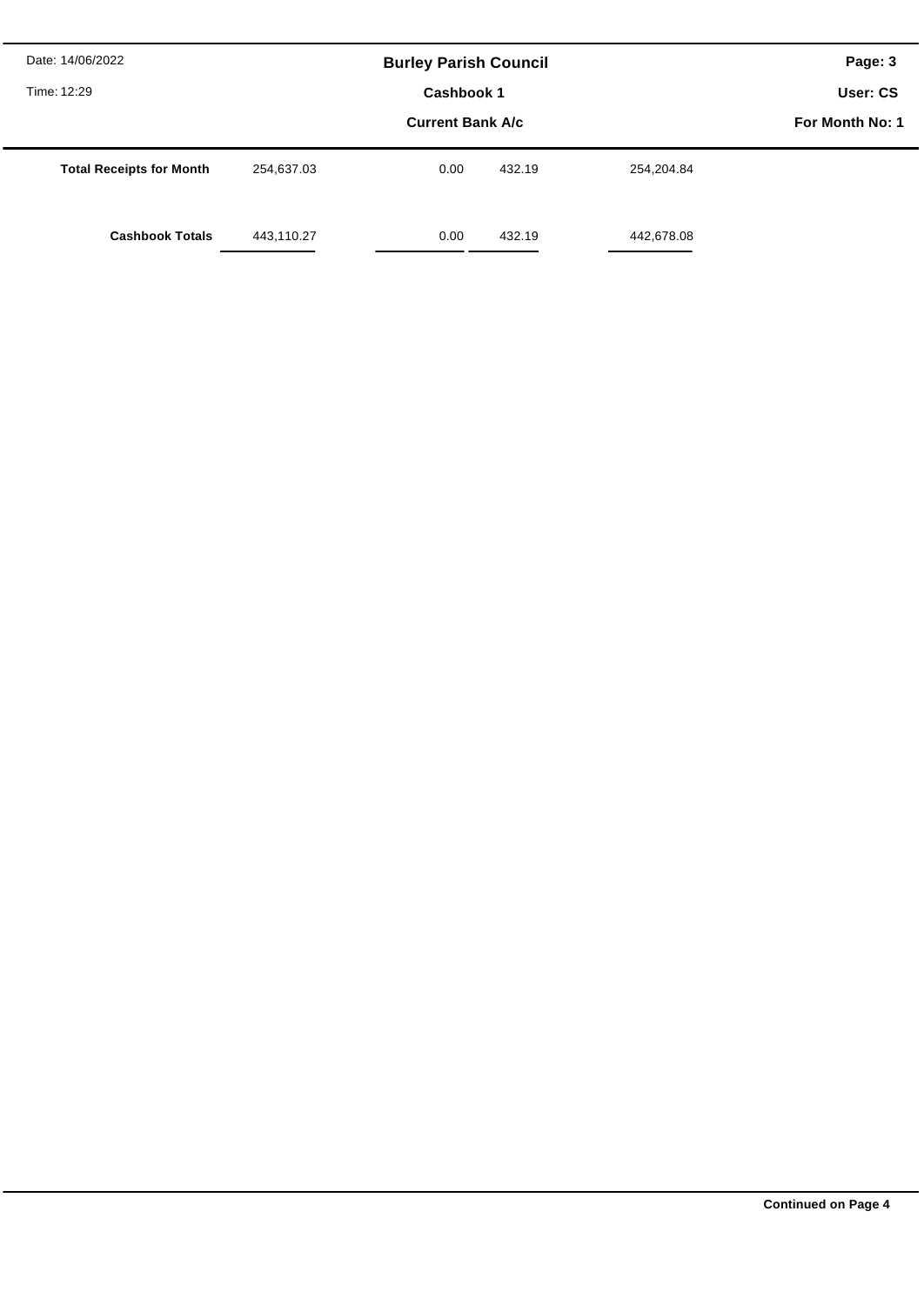| Date: 14/06/2022<br>Time: 12:29 |            | <b>Burley Parish Council</b><br>Cashbook 1 |        |            | Page: 3<br>User: CS |
|---------------------------------|------------|--------------------------------------------|--------|------------|---------------------|
|                                 |            | For Month No: 1                            |        |            |                     |
| <b>Total Receipts for Month</b> | 254,637.03 | 0.00                                       | 432.19 | 254,204.84 |                     |
| <b>Cashbook Totals</b>          | 443,110.27 | 0.00                                       | 432.19 | 442,678.08 |                     |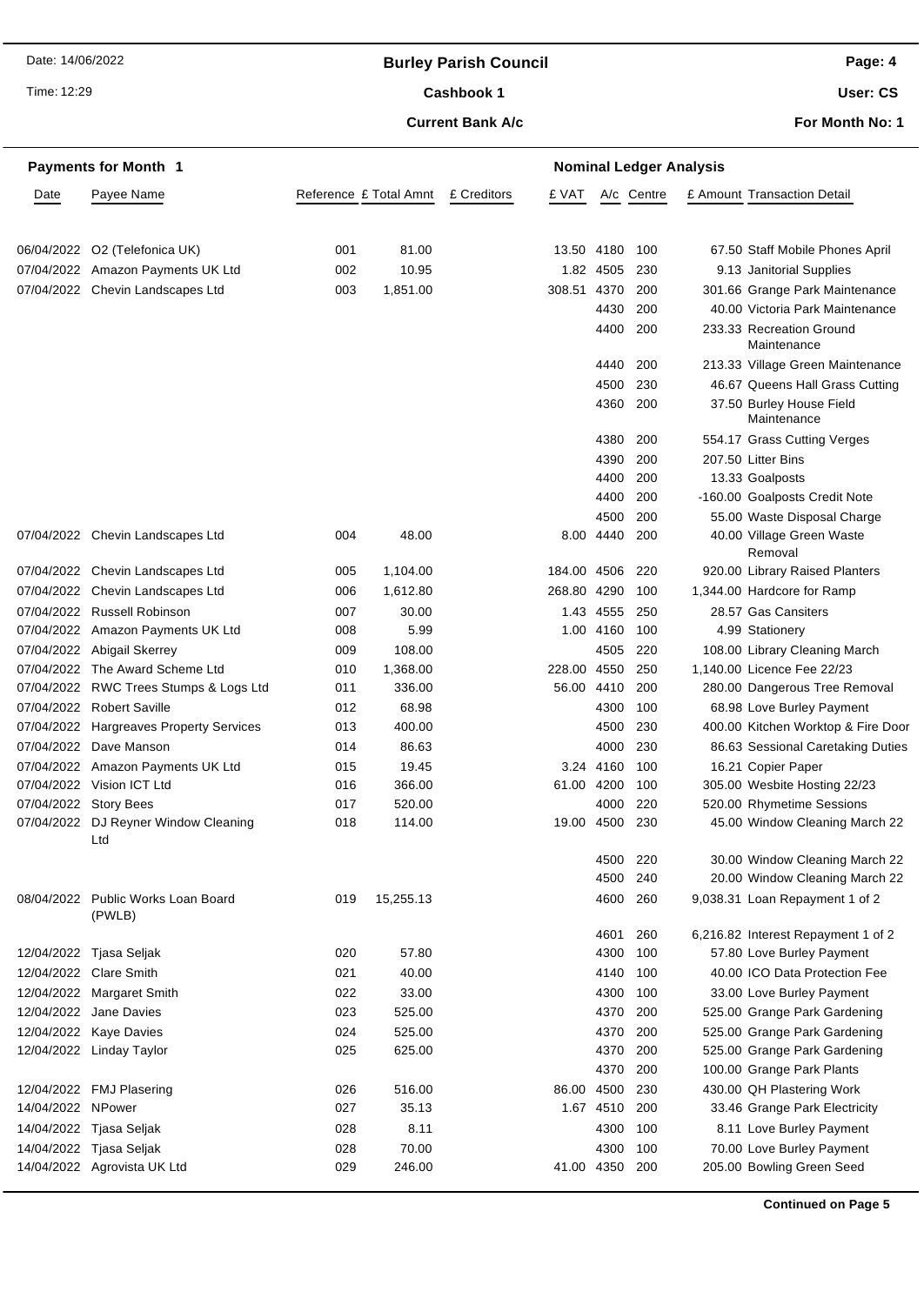Date: 14/06/2022

### **Burley Parish Council**

Time: 12:29

### Cashbook 1

#### **Current Bank A/c**

**User: CS**

**For Month No: 1**

|                       | <b>Payments for Month 1</b>             |     |                        |             |       |             | <b>Nominal Ledger Analysis</b> |                                         |
|-----------------------|-----------------------------------------|-----|------------------------|-------------|-------|-------------|--------------------------------|-----------------------------------------|
| Date                  | Payee Name                              |     | Reference £ Total Amnt | £ Creditors | £ VAT |             | A/c Centre                     | £ Amount Transaction Detail             |
|                       |                                         |     |                        |             |       |             |                                |                                         |
| 06/04/2022            | O2 (Telefonica UK)                      | 001 | 81.00                  |             |       | 13.50 4180  | 100                            | 67.50 Staff Mobile Phones April         |
|                       | 07/04/2022 Amazon Payments UK Ltd       | 002 | 10.95                  |             |       | 1.82 4505   | 230                            | 9.13 Janitorial Supplies                |
|                       | 07/04/2022 Chevin Landscapes Ltd        | 003 | 1,851.00               |             |       | 308.51 4370 | 200                            | 301.66 Grange Park Maintenance          |
|                       |                                         |     |                        |             |       | 4430        | 200                            | 40.00 Victoria Park Maintenance         |
|                       |                                         |     |                        |             |       | 4400        | 200                            | 233.33 Recreation Ground<br>Maintenance |
|                       |                                         |     |                        |             |       | 4440        | 200                            | 213.33 Village Green Maintenance        |
|                       |                                         |     |                        |             |       | 4500        | 230                            | 46.67 Queens Hall Grass Cutting         |
|                       |                                         |     |                        |             |       | 4360        | 200                            | 37.50 Burley House Field<br>Maintenance |
|                       |                                         |     |                        |             |       | 4380        | 200                            | 554.17 Grass Cutting Verges             |
|                       |                                         |     |                        |             |       | 4390        | 200                            | 207.50 Litter Bins                      |
|                       |                                         |     |                        |             |       | 4400        | 200                            | 13.33 Goalposts                         |
|                       |                                         |     |                        |             |       | 4400        | 200                            | -160.00 Goalposts Credit Note           |
|                       |                                         |     |                        |             |       | 4500        | 200                            | 55.00 Waste Disposal Charge             |
|                       | 07/04/2022 Chevin Landscapes Ltd        | 004 | 48.00                  |             |       | 8.00 4440   | 200                            | 40.00 Village Green Waste<br>Removal    |
|                       | 07/04/2022 Chevin Landscapes Ltd        | 005 | 1,104.00               |             |       | 184.00 4506 | 220                            | 920.00 Library Raised Planters          |
|                       | 07/04/2022 Chevin Landscapes Ltd        | 006 | 1,612.80               |             |       | 268.80 4290 | 100                            | 1,344.00 Hardcore for Ramp              |
| 07/04/2022            | <b>Russell Robinson</b>                 | 007 | 30.00                  |             |       | 1.43 4555   | 250                            | 28.57 Gas Cansiters                     |
|                       | 07/04/2022 Amazon Payments UK Ltd       | 008 | 5.99                   |             |       | 1.00 4160   | 100                            | 4.99 Stationery                         |
|                       | 07/04/2022 Abigail Skerrey              | 009 | 108.00                 |             |       | 4505        | 220                            | 108.00 Library Cleaning March           |
|                       | 07/04/2022 The Award Scheme Ltd         | 010 | 1,368.00               |             |       | 228.00 4550 | 250                            | 1,140.00 Licence Fee 22/23              |
|                       | 07/04/2022 RWC Trees Stumps & Logs Ltd  | 011 | 336.00                 |             |       | 56.00 4410  | 200                            | 280.00 Dangerous Tree Removal           |
|                       | 07/04/2022 Robert Saville               | 012 | 68.98                  |             |       | 4300        | 100                            | 68.98 Love Burley Payment               |
|                       | 07/04/2022 Hargreaves Property Services | 013 | 400.00                 |             |       | 4500        | 230                            | 400.00 Kitchen Worktop & Fire Door      |
| 07/04/2022            | Dave Manson                             | 014 | 86.63                  |             |       | 4000        | 230                            | 86.63 Sessional Caretaking Duties       |
|                       | 07/04/2022 Amazon Payments UK Ltd       | 015 | 19.45                  |             |       | 3.24 4160   | 100                            | 16.21 Copier Paper                      |
|                       | 07/04/2022 Vision ICT Ltd               | 016 | 366.00                 |             |       | 61.00 4200  | 100                            | 305.00 Wesbite Hosting 22/23            |
| 07/04/2022 Story Bees |                                         | 017 | 520.00                 |             |       | 4000        | 220                            | 520.00 Rhymetime Sessions               |
| 07/04/2022            | DJ Reyner Window Cleaning<br>Ltd        | 018 | 114.00                 |             | 19.00 | 4500        | 230                            | 45.00 Window Cleaning March 22          |
|                       |                                         |     |                        |             |       | 4500        | 220                            | 30.00 Window Cleaning March 22          |
|                       |                                         |     |                        |             |       | 4500        | 240                            | 20.00 Window Cleaning March 22          |
| 08/04/2022            | Public Works Loan Board<br>(PWLB)       | 019 | 15,255.13              |             |       | 4600        | 260                            | 9,038.31 Loan Repayment 1 of 2          |
|                       |                                         |     |                        |             |       | 4601        | 260                            | 6,216.82 Interest Repayment 1 of 2      |
| 12/04/2022            | Tjasa Seljak                            | 020 | 57.80                  |             |       | 4300        | 100                            | 57.80 Love Burley Payment               |
|                       | 12/04/2022 Clare Smith                  | 021 | 40.00                  |             |       | 4140        | 100                            | 40.00 ICO Data Protection Fee           |
| 12/04/2022            | <b>Margaret Smith</b>                   | 022 | 33.00                  |             |       | 4300        | 100                            | 33.00 Love Burley Payment               |
| 12/04/2022            | Jane Davies                             | 023 | 525.00                 |             |       | 4370        | 200                            | 525.00 Grange Park Gardening            |
|                       | 12/04/2022 Kaye Davies                  | 024 | 525.00                 |             |       | 4370        | 200                            | 525.00 Grange Park Gardening            |
|                       | 12/04/2022 Linday Taylor                | 025 | 625.00                 |             |       | 4370        | 200                            | 525.00 Grange Park Gardening            |
|                       |                                         |     |                        |             |       | 4370        | 200                            | 100.00 Grange Park Plants               |
|                       | 12/04/2022 FMJ Plasering                | 026 | 516.00                 |             |       | 86.00 4500  | 230                            | 430.00 QH Plastering Work               |
| 14/04/2022 NPower     |                                         | 027 | 35.13                  |             |       | 1.67 4510   | 200                            | 33.46 Grange Park Electricity           |
|                       | 14/04/2022 Tjasa Seljak                 | 028 | 8.11                   |             |       | 4300        | 100                            | 8.11 Love Burley Payment                |
|                       | 14/04/2022 Tjasa Seljak                 | 028 | 70.00                  |             |       | 4300        | 100                            | 70.00 Love Burley Payment               |
|                       | 14/04/2022 Agrovista UK Ltd             | 029 | 246.00                 |             |       | 41.00 4350  | 200                            | 205.00 Bowling Green Seed               |

**Continued on Page 5**

**Page: 4**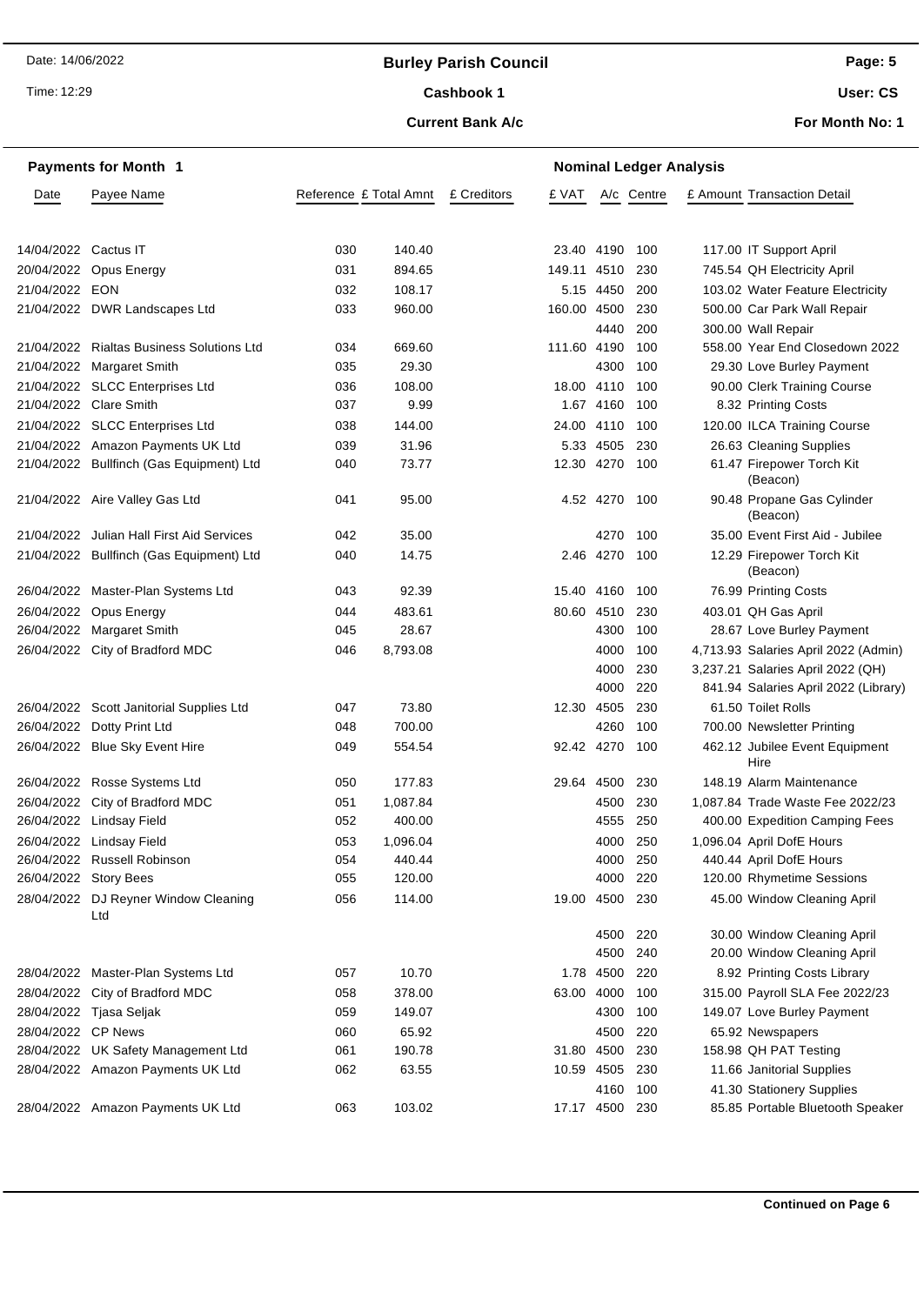### **Burley Parish Council**

Time: 12:29

#### Cashbook 1

**Current Bank A/c**

**User: CS**

**For Month No: 1**

|                      | <b>Payments for Month 1</b>                 | <b>Nominal Ledger Analysis</b> |          |             |                |           |            |  |                                        |
|----------------------|---------------------------------------------|--------------------------------|----------|-------------|----------------|-----------|------------|--|----------------------------------------|
| Date                 | Payee Name                                  | Reference £ Total Amnt         |          | £ Creditors | £ VAT          |           | A/c Centre |  | £ Amount Transaction Detail            |
|                      |                                             |                                |          |             |                |           |            |  |                                        |
| 14/04/2022 Cactus IT |                                             | 030                            | 140.40   |             | 23.40 4190     |           | 100        |  | 117.00 IT Support April                |
|                      | 20/04/2022 Opus Energy                      | 031                            | 894.65   |             | 149.11 4510    |           | 230        |  | 745.54 QH Electricity April            |
| 21/04/2022 EON       |                                             | 032                            | 108.17   |             |                | 5.15 4450 | 200        |  | 103.02 Water Feature Electricity       |
|                      | 21/04/2022 DWR Landscapes Ltd               | 033                            | 960.00   |             | 160.00 4500    |           | 230        |  | 500.00 Car Park Wall Repair            |
|                      |                                             |                                |          |             |                | 4440      | 200        |  | 300.00 Wall Repair                     |
|                      | 21/04/2022 Rialtas Business Solutions Ltd   | 034                            | 669.60   |             | 111.60 4190    |           | 100        |  | 558.00 Year End Closedown 2022         |
|                      | 21/04/2022 Margaret Smith                   | 035                            | 29.30    |             |                | 4300      | 100        |  | 29.30 Love Burley Payment              |
|                      | 21/04/2022 SLCC Enterprises Ltd             | 036                            | 108.00   |             | 18.00 4110     |           | 100        |  | 90.00 Clerk Training Course            |
|                      | 21/04/2022 Clare Smith                      | 037                            | 9.99     |             |                | 1.67 4160 | 100        |  | 8.32 Printing Costs                    |
|                      | 21/04/2022 SLCC Enterprises Ltd             | 038                            | 144.00   |             | 24.00 4110     |           | 100        |  | 120.00 ILCA Training Course            |
|                      | 21/04/2022 Amazon Payments UK Ltd           | 039                            | 31.96    |             |                | 5.33 4505 | 230        |  | 26.63 Cleaning Supplies                |
|                      | 21/04/2022 Bullfinch (Gas Equipment) Ltd    | 040                            | 73.77    |             | 12.30 4270     |           | 100        |  | 61.47 Firepower Torch Kit<br>(Beacon)  |
|                      | 21/04/2022 Aire Valley Gas Ltd              | 041                            | 95.00    |             |                | 4.52 4270 | 100        |  | 90.48 Propane Gas Cylinder<br>(Beacon) |
|                      | 21/04/2022 Julian Hall First Aid Services   | 042                            | 35.00    |             |                | 4270      | 100        |  | 35.00 Event First Aid - Jubilee        |
|                      | 21/04/2022 Bullfinch (Gas Equipment) Ltd    | 040                            | 14.75    |             |                | 2.46 4270 | 100        |  | 12.29 Firepower Torch Kit<br>(Beacon)  |
|                      | 26/04/2022 Master-Plan Systems Ltd          | 043                            | 92.39    |             | 15.40 4160     |           | 100        |  | 76.99 Printing Costs                   |
|                      | 26/04/2022 Opus Energy                      | 044                            | 483.61   |             | 80.60 4510     |           | 230        |  | 403.01 QH Gas April                    |
|                      | 26/04/2022 Margaret Smith                   | 045                            | 28.67    |             |                | 4300      | 100        |  | 28.67 Love Burley Payment              |
|                      | 26/04/2022 City of Bradford MDC             | 046                            | 8,793.08 |             |                | 4000      | 100        |  | 4,713.93 Salaries April 2022 (Admin)   |
|                      |                                             |                                |          |             |                | 4000      | 230        |  | 3,237.21 Salaries April 2022 (QH)      |
|                      |                                             |                                |          |             |                | 4000      | 220        |  | 841.94 Salaries April 2022 (Library)   |
|                      | 26/04/2022 Scott Janitorial Supplies Ltd    | 047                            | 73.80    |             | 12.30 4505     |           | 230        |  | 61.50 Toilet Rolls                     |
|                      | 26/04/2022 Dotty Print Ltd                  | 048                            | 700.00   |             |                | 4260      | 100        |  | 700.00 Newsletter Printing             |
|                      | 26/04/2022 Blue Sky Event Hire              | 049                            | 554.54   |             | 92.42 4270     |           | 100        |  | 462.12 Jubilee Event Equipment<br>Hire |
|                      | 26/04/2022 Rosse Systems Ltd                | 050                            | 177.83   |             | 29.64 4500     |           | 230        |  | 148.19 Alarm Maintenance               |
|                      | 26/04/2022 City of Bradford MDC             | 051                            | 1,087.84 |             |                | 4500      | 230        |  | 1.087.84 Trade Waste Fee 2022/23       |
|                      | 26/04/2022 Lindsay Field                    | 052                            | 400.00   |             |                | 4555      | 250        |  | 400.00 Expedition Camping Fees         |
|                      | 26/04/2022 Lindsay Field                    | 053                            | 1,096.04 |             |                | 4000      | 250        |  | 1,096.04 April DofE Hours              |
|                      | 26/04/2022 Russell Robinson                 | 054                            | 440.44   |             |                | 4000      | 250        |  | 440.44 April DofE Hours                |
|                      | 26/04/2022 Story Bees                       | 055                            | 120.00   |             |                | 4000      | 220        |  | 120.00 Rhymetime Sessions              |
|                      | 28/04/2022 DJ Reyner Window Cleaning<br>Ltd | 056                            | 114.00   |             | 19.00 4500     |           | 230        |  | 45.00 Window Cleaning April            |
|                      |                                             |                                |          |             |                | 4500      | 220        |  | 30.00 Window Cleaning April            |
|                      |                                             |                                |          |             |                | 4500      | 240        |  | 20.00 Window Cleaning April            |
|                      | 28/04/2022 Master-Plan Systems Ltd          | 057                            | 10.70    |             |                | 1.78 4500 | 220        |  | 8.92 Printing Costs Library            |
|                      | 28/04/2022 City of Bradford MDC             | 058                            | 378.00   |             | 63.00 4000     |           | 100        |  | 315.00 Payroll SLA Fee 2022/23         |
|                      | 28/04/2022 Tjasa Seljak                     | 059                            | 149.07   |             |                | 4300      | 100        |  | 149.07 Love Burley Payment             |
| 28/04/2022 CP News   |                                             | 060                            | 65.92    |             |                | 4500      | 220        |  | 65.92 Newspapers                       |
|                      | 28/04/2022 UK Safety Management Ltd         | 061                            | 190.78   |             | 31.80 4500     |           | 230        |  | 158.98 QH PAT Testing                  |
|                      | 28/04/2022 Amazon Payments UK Ltd           | 062                            | 63.55    |             | 10.59 4505     |           | 230        |  | 11.66 Janitorial Supplies              |
|                      |                                             |                                |          |             |                | 4160      | 100        |  | 41.30 Stationery Supplies              |
|                      | 28/04/2022 Amazon Payments UK Ltd           | 063                            | 103.02   |             | 17.17 4500 230 |           |            |  | 85.85 Portable Bluetooth Speaker       |

**Page: 5**